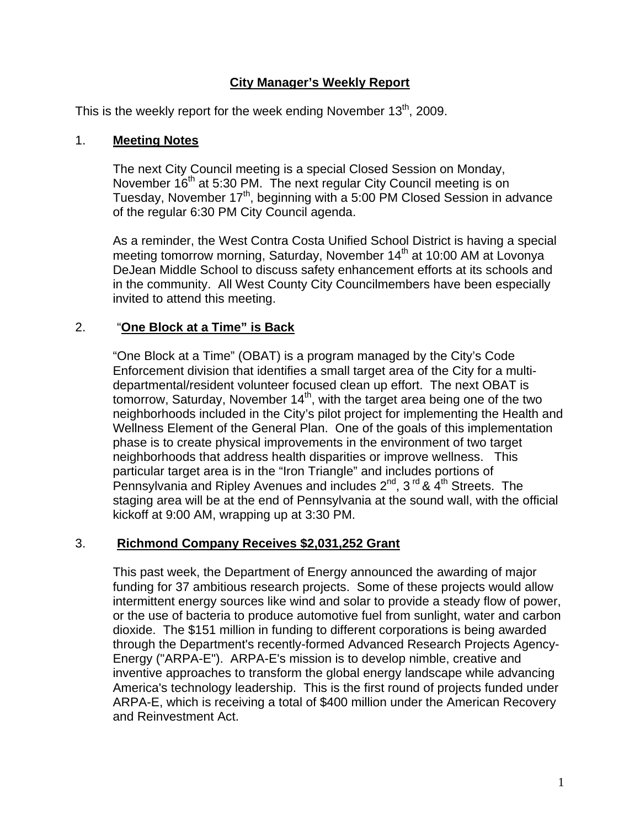# **City Manager's Weekly Report**

This is the weekly report for the week ending November  $13<sup>th</sup>$ , 2009.

### 1. **Meeting Notes**

The next City Council meeting is a special Closed Session on Monday, November  $16<sup>th</sup>$  at 5:30 PM. The next regular City Council meeting is on Tuesday, November 17<sup>th</sup>, beginning with a 5:00 PM Closed Session in advance of the regular 6:30 PM City Council agenda.

As a reminder, the West Contra Costa Unified School District is having a special meeting tomorrow morning, Saturday, November 14<sup>th</sup> at 10:00 AM at Lovonya DeJean Middle School to discuss safety enhancement efforts at its schools and in the community. All West County City Councilmembers have been especially invited to attend this meeting.

### 2. "**One Block at a Time" is Back**

"One Block at a Time" (OBAT) is a program managed by the City's Code Enforcement division that identifies a small target area of the City for a multidepartmental/resident volunteer focused clean up effort. The next OBAT is tomorrow, Saturday, November  $14<sup>th</sup>$ , with the target area being one of the two neighborhoods included in the City's pilot project for implementing the Health and Wellness Element of the General Plan. One of the goals of this implementation phase is to create physical improvements in the environment of two target neighborhoods that address health disparities or improve wellness. This particular target area is in the "Iron Triangle" and includes portions of Pennsylvania and Ripley Avenues and includes  $2^{nd}$ ,  $3^{rd}$  &  $4^{th}$  Streets. The staging area will be at the end of Pennsylvania at the sound wall, with the official kickoff at 9:00 AM, wrapping up at 3:30 PM.

### 3. **Richmond Company Receives \$2,031,252 Grant**

This past week, the Department of Energy announced the awarding of major funding for 37 ambitious research projects. Some of these projects would allow intermittent energy sources like wind and solar to provide a steady flow of power, or the use of bacteria to produce automotive fuel from sunlight, water and carbon dioxide. The \$151 million in funding to different corporations is being awarded through the Department's recently-formed Advanced Research Projects Agency-Energy ("ARPA-E"). ARPA-E's mission is to develop nimble, creative and inventive approaches to transform the global energy landscape while advancing America's technology leadership. This is the first round of projects funded under ARPA-E, which is receiving a total of \$400 million under the American Recovery and Reinvestment Act.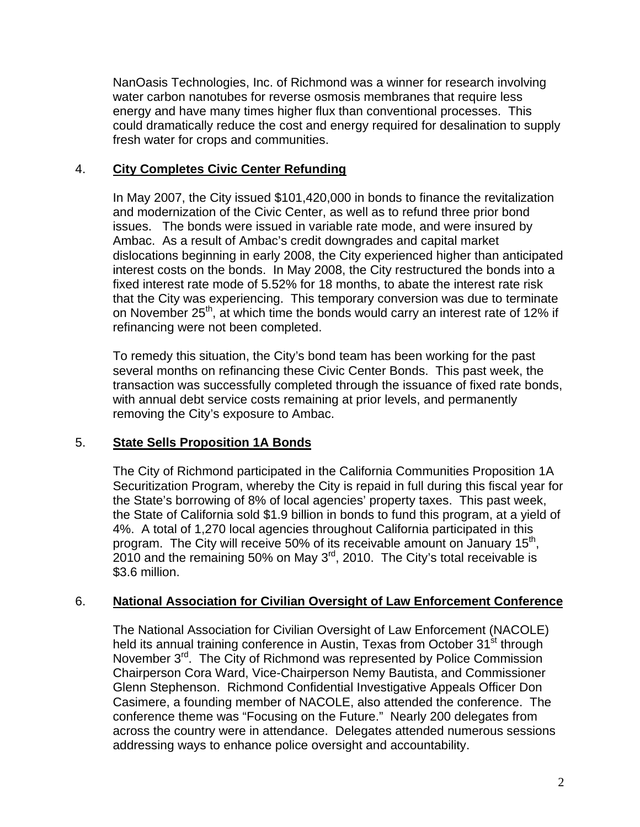NanOasis Technologies, Inc. of Richmond was a winner for research involving water carbon nanotubes for reverse osmosis membranes that require less energy and have many times higher flux than conventional processes. This could dramatically reduce the cost and energy required for desalination to supply fresh water for crops and communities.

## 4. **City Completes Civic Center Refunding**

In May 2007, the City issued \$101,420,000 in bonds to finance the revitalization and modernization of the Civic Center, as well as to refund three prior bond issues. The bonds were issued in variable rate mode, and were insured by Ambac. As a result of Ambac's credit downgrades and capital market dislocations beginning in early 2008, the City experienced higher than anticipated interest costs on the bonds. In May 2008, the City restructured the bonds into a fixed interest rate mode of 5.52% for 18 months, to abate the interest rate risk that the City was experiencing. This temporary conversion was due to terminate on November 25<sup>th</sup>, at which time the bonds would carry an interest rate of 12% if refinancing were not been completed.

To remedy this situation, the City's bond team has been working for the past several months on refinancing these Civic Center Bonds. This past week, the transaction was successfully completed through the issuance of fixed rate bonds, with annual debt service costs remaining at prior levels, and permanently removing the City's exposure to Ambac.

# 5. **State Sells Proposition 1A Bonds**

The City of Richmond participated in the California Communities Proposition 1A Securitization Program, whereby the City is repaid in full during this fiscal year for the State's borrowing of 8% of local agencies' property taxes. This past week, the State of California sold \$1.9 billion in bonds to fund this program, at a yield of 4%. A total of 1,270 local agencies throughout California participated in this program. The City will receive 50% of its receivable amount on January 15<sup>th</sup>,  $2010$  and the remaining 50% on May  $3<sup>rd</sup>$ , 2010. The City's total receivable is \$3.6 million.

# 6. **National Association for Civilian Oversight of Law Enforcement Conference**

The National Association for Civilian Oversight of Law Enforcement (NACOLE) held its annual training conference in Austin, Texas from October 31<sup>st</sup> through November 3<sup>rd</sup>. The City of Richmond was represented by Police Commission Chairperson Cora Ward, Vice-Chairperson Nemy Bautista, and Commissioner Glenn Stephenson. Richmond Confidential Investigative Appeals Officer Don Casimere, a founding member of NACOLE, also attended the conference. The conference theme was "Focusing on the Future." Nearly 200 delegates from across the country were in attendance. Delegates attended numerous sessions addressing ways to enhance police oversight and accountability.